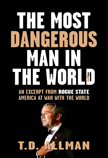# THE MOST NGEROUS MAN IN THE WORLEY **AN EXCERPT FROM** ROGUE STATE

# **AMERICA AT WAR WITH THE WORLD**

# T.D. ALLMAN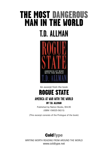## THE MOST DANGEROUS MAN IN THE WORLD **T.D. ALLMAN**



An excerpt from the book

ROGUE STATE

### **AMERICA AT WAR WITH THE WORLD** BY T.D. ALLMAN

Published by Nation Books, \$14.95 (ISBN 1-56025-562-5)

(This excerpt consists of the Prologue of the book)

### **ColdType**

WRITING WORTH READING FROM AROUND THE WORLD www.coldtype.net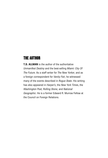### THE AUTHOR

**T.D. ALLMAN** is the author of the authoritative *Unmanifest Destiny* and the best-selling *Miami: City Of The Future*. As a staff writer for *The New Yorker*, and as a foreign correspondent for *Vanity Fair*, he witnessed many of the events described in *Rogue State*. His writing has also appeared in *Harper's*, the *New York Time*s, the *Washington Post, Rolling Stone,* and *National Geographic*. He is a former Edward R. Murrow Fellow at the Council on Foreign Relations.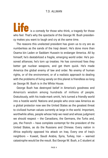**Life is a comedy for those who think, a tragedy for those**<br>who feel. That's why the spectacle of the George W. Bush presidency makes you want to laugh and cry at the same time.

The reasons this unelected president has given us to cry are as numberless as the sands of the Iraqi desert. He's done more than Osama bin Laden or Saddam Hussein to endanger America. All by himself, he's destabilized a fragile, emerging world order. He's poisoned alliances; he's torn up treaties. He has convinced foes they better get nuclear weapons, and get them quick. He's made America the global enemy of law and order. No enemy of human rights, or of the environment, or of a realistic approach to dealing with the problems of living sanely on this planet is friendless so long as George W. Bush is in the White House.

George Bush has destroyed belief in America's goodness and America's wisdom among hundreds of millions of people. Gratuitously, with his trade-mark smirk, he's turned a friendly world into a hostile world. Nations and people who once saw America as a global protector now see the United States as the greatest threat to civilized human values currently at large in the world. Important, worthwhile allies, people whose help we need and whose judgment we should respect – the Canadians, the Germans, the Turks and, yes, the French – have complete contempt for the president of the United States, as do the Russians and Chinese. Every nation in Africa explicitly opposed his attack on Iraq. Every one of Iraq's neighbors – Kuwait, Saudi Arabia, Syria, Turkey, Iran – warned catastrophe would be the result. But George W. Bush, a C student at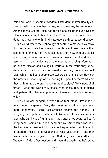Yale and Harvard, sneers at wisdom. Facts don't matter. Reality can take a walk. You're either for us, or against us, he announces. Among those George Bush has turned against us include Nelson Mandela. According to Mandela, "The President of the United States does not know how to think. His attitude is a threat to world peace."

In a world where the technology of death is a mouse-click away, it's the hatred Bush has sown in countless unknown hearts that, sooner or later, may harm America most. Right now, in many places – including, it is reasonable to assume, inside the United States itself – smart, angry kids are on the Internet, amassing information on nuclear fission and biological warfare. In the world they know, George W. Bush, not some swarthy terrorist, personifies evil. Meanwhile, intelligent people everywhere ask themselves: How can the American people go on supporting this peculiar man? Why did they let him grab the presidency in the first place? Why, now, of all times – when the world truly needs sane, measured, constructive and patient U.S. leadership – is an American president running wild?

The world was dangerous when Bush took office. He's made it much more dangerous. Every day he stays in office it gets even more dangerous. Bush's recklessness creates the danger. His bungling incompetence multiplies it. Americans today have a president who can invade Afghanistan – but, after three years, still can't bring back Osama bin Laden, dead or alive. American power is in the hands of a president who invades Iraq in order to rid the world of Saddam Hussein and Weapons of Mass Destruction – and then takes eight months just to find Saddam, never unearths the Weapons of Mass Destruction, and treats the death trap he's creat-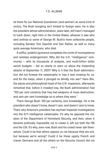ed there for our National Guardsmen (and women) as some kind of victory. The Bush bungling isn't limited to foreign wars. He is also the president whose administration, years later, still hasn't managed to track down, right here in the United States, whoever it was who sent anthrax to some of George W. Bush's more unfavorite people, including Senator Tom Daschle and Dan Rather, as well to many quite average Americans, who died.

A willful, prideful ignorance completes the circle of incompetence and reckless endangerment. Why did the U.S. "intelligence" community – with its thousands of analysts, and multi-billion dollar secret budgets – fail so utterly to warn us about the impending attacks of September 11, 2001? Why is it that the Bush administration did not foresee the catastrophe in Iraq it was creating for us, and for the Iraqis, when it plunged so blindly into war? Hans Blix, the astute and philosophical head of the U.N. inspectors, afterwards remarked that, before it invaded Iraq, the Bush administration had "100 per cent certainty that Iraq had weapons of mass destruction, and zero per cent knowledge as to where they were."

That's George Bush: 100 per certainty, zero knowledge. He is the president who doesn't know, doesn't care, and doesn't care to know. That's why America's president has stymied impartial investigations into the 9/11 intelligence catastrophe. It's why he opposed the creation of the Department of Homeland Security, and then, when it became politically impossible not to create it, left out both the FBI and the CIA. It's why, even now, Bush and his crowd never ask themselves: Could it be that others oppose us not because they are evil, but because we're wrong? Could it be those uppity French and craven Germans and all the others on the Security Council did not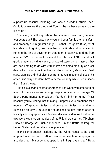support us because invading Iraq was a dreadful, stupid idea? Could it be we are the problem? Could it be we have some explaining to do?

Now ask yourself a question. Are you safer now than you were four years ago? The reason why you and your family are not safer – and probably are in greater danger – is that George W. Bush, for all his talk about fighting terrorism, has no aptitude and no interest in running the kind of government that might protect you and me from another 9/11. He prefers to sneer at the U.N., insult NATO, and pick grudge matches with unsavory, faraway dictators who, nasty as they are, had nothing to do with 9/11, instead of doing his duty as president, which is to protect our lives, and our property. George W. Bush starts wars as a kind of diversion from the real responsibilities of his office. And why shouldn't he? Very few wealthy white Republicans die in Bush's wars.

All this is a crying shame for America yet, when you stop to think about it, there's also something deeply comical about George W. Bush's performance as president. You don't find him funny? That's because you're feeling, not thinking. Suppress your emotions for a moment. Wrap your intellect, and only your intellect, around what Bush said on May 1, 2003, in the course of a political appearance as lavishly choreographed as a Michael Jackson video. As he stood at taxpayers' expense on the deck of the U.S. aircraft carrier, "Abraham Lincoln," George W. Bush announced: "In the Battle of Iraq, the United States and our allies have prevailed."

In the same speech, scripted by the White House to be a triumphant overture to his 2004 presidential election campaign, he also declared, "Major combat operations in Iraq have ended." He at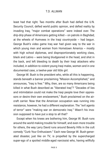least had that right. Two months after Bush had defied the U.N. Security Council, defied world public opinion, and defied reality by invading Iraq, "major combat operations" were indeed over. The drip-drip phase of Americans getting killed – on patrols in Baghdad; at the wheels of Humvees in the Iraqi countryside – had begun. George Bush's video game Iraq war had given way to the war in which young men and women from Hometown America – mostly with high school diplomas, and disproportionately working class, black and Latino – were being bludgeoned in the head, and shot in the back, and left bleeding to death by their Iraqi attackers who included, in addition to violent young Iraqi males, women and in one documented case, a twelve-year old little girl.

George W. Bush is the president who, while all this is happening, stands beneath a banner proclaiming "Mission Accomplished," and announces, "Iraq is free." Why, then, are so many Americans being killed in what Bush described as "liberated Iraq"? "Decades of lies and intimidation could not make the Iraqi people love their oppressors or desire their own enslavement," Bush proclaimed on the aircraft carrier. Now that the American occupation was running into resistance, however, he had a different explanation. The "evil agents of terror" were "making war on democratic Iraq." Wasn't his invasion supposed to have put a stop to all that?

Except when his knees are bothering him, George W. Bush runs around the world making trouble for himself, and even more trouble for others, the way Larry David runs around Beverly Hills in the cult comedy "Curb Your Enthusiasm." Each new George W. Bush-generated disaster, just like on TV, is propelled by the supercharged super-ego of a spoiled middle-aged narcissist who, having willfully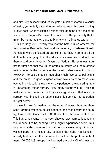and bizarrely misconstrued reality, gets himself ensnared in a series of weird, yet initially avoidable, misadventures of his own making. In each case, what escalates a minor misjudgment into a major crisis is the protagonist's refusal to conceive of the possibility that it might be he, not reality, that's to blame when things go wrong.

In February 2003, nearly two months before Bush ordered the Iraq invasion. George W. Bush and his Secretary of Defense, Donald Rumsfeld, were so fixated on attacking Iraq that, in spite of all the diplomatic scurrying at the United Nations, it was beyond doubt that there would be an invasion. Given that Saddam Hussein was a tinpot torturer and that the United States, militarily, was the mightiest nation on earth, the outcome of the invasion also was not in doubt. However – to use a medical metaphor much favored by politicians and the press – a good surgeon always takes pains to make sure everything is just right, even when the patient on the operating table is undergoing minor surgery. How many troops would it take to make sure that the Iraq strike truly was surgical – and that, once the surgery was finished, the patient not only survived the operation, but got better?

It would take "something on the order of several hundred thousand" ground troops to defeat Saddam, and then secure the country, former U.S. Army Chief of Staff Gen. Eric Shinseki pointed out. This figure, as events in Iraq soon showed, was correct, just as one would hope it to be, coming from a highly-experienced senior military commander. However Rumsfeld – who's never fought in a war; walked patrol in a hostile city, or spent the night in a foxhole  $$ already had decided that he knew better than the professionals. A mere 140,000 U.S. troops, he informed the Joint Chiefs, was the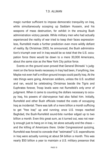magic number sufficient to impose democratic tranquility on Iraq, while simultaneously scooping up Saddam Hussein, and his weapons of mass destruction, for exhibit in the ensuing Bush administration victory parade. While military men who had actually experienced the reality of war tried to keep their faces expressionless, Rumsfeld made a further prediction even more wildly defiant of reality. By Christmas 2003, he announced, the Bush administration's triumph over evil in Iraq would be so total that the U.S. occupation force there would be down to a mere 30,000 Americans, about the same size as the New York City police force.

Events on the ground soon proved that General Shinseki 's judgment on the force levels necessary in Iraq had been, if anything, low. Maybe not even half a million ground troops could pacify Iraq. At the rate things were going, American soldiers, unless the U.S. scuttled and ran, would be celebrating Christmas beside the Tigris and Euphrates forever, Troop levels were not Rumsfeld's only error of judgment. When it came to counting the dollars necessary to occupy Iraq, his powers of clairvoyance had also failed him. Initially, Rumsfeld and other Bush officials treated the costs of occupying Iraq as incidental. There was talk of a mere billion a month sufficing to get "free Iraq" up and running; once U.S. troops reached Baghdad, the Bush-Rumsfeld sound-bite number edged up to two billion a month. Even this great sum, as it turned out, was not nearly enough just to hang on in Iraq, let alone actually end the chaos – and the killing of Americans there. Under Congressional quizzing, Rumsfeld was forced to concede that "estimated" U.S. expenditures in Iraq were actually running at about \$4 billion a month. This was nearly \$50 billion a year to maintain a U.S. military presence that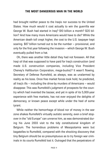had brought neither peace to the Iraqis nor success to the United States. How much would it cost actually to win the guerrilla war George W. Bush had started in Iraq? \$10 billion a month? \$20 billion? And how many more Americans would have to die? While the American death toll crept higher, the cost to the U.S. taxpayer kept soaring. \$87 billion turned out to be the number – provisional, and only for the first year following the invasion – which George W. Bush eventually pulled from a hat.

Oh, there was another little detail they had not foreseen. All that Iraqi oil that was supposed to have paid for Iraq's construction (and made U.S. construction companies, including Vice President Cheney's Halliburton Corporation, mega-bucks)? It wasn't flowing. Secretary of Defense Rumsfeld, as always, was as unalarmed by reality as his boss. Once free market forces took hold, he predicted, all Iraq's ills – including the drive-by murders of Americans – would disappear. This was Rumsfeld's judgment of prospects for the country which had invented the bazaar, and yet in spite of its 5,000-year experience with free markets, has not ever enjoyed the delights of democracy, or known peace except while under the heel of some tyrant.

While neither the hemorrhage of blood nor of money in the war zone shakes Rumsfeld's virtually autistic serenity, even a brief stopover in the "old Europe" can unnerve him, as was demonstrated during his June 2003 visit to the tidy constitutional kingdom of Belgium. The horrendous problems of Mesopotamia were but bagatelles to Rumsfeld, compared with the shocking discovery that tiny Belgium should be so presumptuous as to try foreign war criminals in its courts Rumsfeld lost it. Outraged that the perpetrators of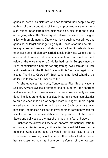genocide, as well as dictators who had tortured their people, to say nothing of the perpetrators of illegal, unprovoked wars of aggression, might under certain circumstances be subjected to the ordeal of Belgian justice, the Secretary of Defense presented our Belgian allies with an ultimatum. Chuck your laws against war crimes and genocide, or forget about getting any U.S. dollars for the new NATO headquarters in Brussels. Unfortunately for him, Rumsfeld's threat to unleash dollar diplomacy carried considerably less weight than it once would have – about twenty per cent less. That was how much value of the once mighty U.S. dollar had lost in Europe since the Bush administration had started frightening away foreign tourists and investment in the United States with its "for us or against us" insults. Thanks to George W. Bush continuing fiscal wizardry, the dollar has fallen even further since then.

As she traverses the world, Condoleezza Rice, Bush's National Security Adviser, evokes a different kind of laughter – the snortling and snickering that comes when a third-rate, irredeemably conventional intellect pretends to elucidate important global complexities to an audience made up of people more intelligent, more experienced, and much better informed than she is. Such scenes are never pleasant. The unease rises to the level of embarrassment when the speaker is both a representative of the president of the United States and oblivious to the fact she is making a fool of herself.

Such was the distressful scene at London's International Institute of Strategic Studies when, a little after Rumsfeld let loose on the Belgians, Condoleezza Rice delivered her latest lecture to the Europeans on how they should comport themselves. Earlier Rice, in her self-assumed role as homeroom enforcer of the Western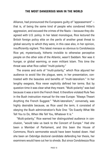Alliance, had pronounced the Europeans guilty of "appeasement" – that is, of being the same kind of people who condoned Hitler's aggression, and excused the crimes of the Nazis – because they disagreed with U.S. policy. In her latest monologue, Rice lectured the British foreign policy elite on the perils of another great threat to global security to which they were, in this case also, in her opinion, insufficiently vigilant. This latest menace so obvious to Condoleezza Rice yet, mysteriously, hitherto invisible to otherwise perceptive people on the other side of the Atlantic, wasn't Saddam. Nor was it hunger, or global warming, or even militant Islam. This time the threat was what Rice called "multi-polarity."

The snares and evils of "multi-polarity," which Rice abjured her audience to avoid like the plague, were, in her presentation, contrasted with the beauties and benefits of "multi-lateralism." In her lengthy exegesis, Rice never explicitly defined her terms. But by question time it was clear what they meant. "Multi-polarity" was bad because it was a term the French liked. It therefore violated Rule Two in the Bush instruction manual for the new Europe: "Always Thwart Anything the French Suggest." "Multi-lateralism," conversely, was highly desirable because, as Rice used the term, it consisted of obeying the Bush administration's Rule One: "Do Exactly What We Tell You to Do, When We Tell You, Whatever It is."

"Multi-polarity," Rice warned her distinguished audience in conclusion, "would take us back to the Concert of Europe." Had she been a Member of Parliament, and this been the House of Commons, Rice's sermonette would have been hooted down. Had she been an Oxbridge doctoral candidate defending her thesis, her examiners would have cut her to shreds. But since Condoleezza Rica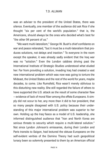was an adviser to the president of the United States, there was silence. Eventually, one member of the audience did ask Rice if she thought "six per cent of the world's population." that is, the Americans, should always be the ones who decided what's best for "the other 94 percent of us."

"We want multi-lateralism," George W. Bush's chief confidante on war and peace reiterated, "but it must be a multi-lateralism that produces solutions, not delays and inaction." To everyone in the room except the speaker, it was already sadly evident that the Iraq war was no "solution." Even the London cabbies driving past the International Institute of Strategic Studies understood what eluded her: Far from providing a solution, invading Iraq had created a vast new international problem which was now was going to torture the Mideast, the United States and the rest of the world for years, maybe decades, to come. Like Rumsfeld, Rice wasn't merely oblivious to this disturbing new reality. She still regarded the failure of others to have supported the U.S. attack as the result of some character flaw – evidence of lack of moral fiber among the effete Europeans. It simply did not occur to her, any more than it did to her president, that so many people disagreed with U.S. policy because their understanding of this major international problem was superior to her own. Holding up the Iraq fiasco as a model of U.S. leadership, she informed distinguished audience that "Iran and North Korea are serious threats to security which require a multi-lateral solution." Not since Lyndon Johnson's emissaries, during their London and Paris transits to Saigon, had lectured the obtuse Europeans on the self-evident verities of the Domino Theory had such geopolitical lunacy been so solemnly presented to them by an American official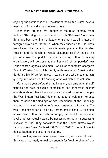enjoying the confidence of a President of the United States, several members of the audience afterwards noted.

Then there are the Two Stooges of the Bush comedy team, Richard "The Magician" Perle and Kenneth "Cakewalk" Adelman. Both have been prominent agitators for a shoot-now-think-later U.S. foreign policy since the 1980s, when they cheer-led for the disastrous Iran-contra operation. It was Perle who predicted that Saddam Hussein and his henchmen would disappear, as if by magic, in a puff of smoke. "Support for Saddam, including within his military organization, will collapse at the first whiff of gunpowder" was Perle's exact prognosis. Adelman – who likes to compare George W. Bush to Winston Churchill favorably while wearing an American-flag tie during his TV performances – was the one who predicted conquering Iraq would be like dancing at an old-fashioned cotillion.

More than a year before the Iraq invasion, at a time when the difficulties and risks of such a complicated and dangerous military operation should have been seriously debated by serious people, the Washington Post lent Adelman its editorial columns. He used them to deride the findings of two researchers at the Brookings Institution, one of Washington's most respected think-tanks. The two Brookings experts, Philip H. Gordon and Michael E. O'Hanlon, unlike those within the Bush entourage, had tried to assess what level of forces actually would be necessary to mount a successful invasion of Iraq. They concluded that the United States would "almost surely" need "at least 100,000 to 200,000" ground forces to defeat Saddam and secure the country.

The Brookings assessment, as we know now, was over-optimistic. But it was not nearly unrealistic enough for "regime change" true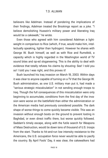believers like Adelman. Instead of pondering the implications of their findings, Adelman treated the Brookings report as a joke. "I believe demolishing Hussein's military power and liberating Iraq would be a cakewalk," he wrote.

Even those who agreed with him considered Adelman a lightweight in comparison to Rice (which, if true, would make him, intellectually speaking, lighter than hydrogen). However he shares with George W. Bush himself, as well as with Rice and Rumsfeld, a capacity which is highly regarded in the Washington world of TV sound bites and op-ed sloganeering. This is the ability to deal with evidence that totally refutes his claims by shouting: See! I told you so! I told you I was right, and this proves it!

Bush launched his Iraq invasion on March 19, 2003. Within days it was clear to anyone capable of turning on a TV that the George W. Bush administration, as one U.S. military man put it, had made a "serious strategic miscalculation" in not sending enough troops to Iraq. Though the full consequences of this miscalculation were only beginning to accumulate, conditions from the first day of the invasion were worse on the battlefield than either the administration or the American media had previously considered possible. The dark shape of worse things to come quickly became visible. This was an invasion without enough boots on the ground to prevent looting in Baghdad, or even direct traffic there, but worse quickly followed. Saddam's timely escape, along with the futile search for Weapons of Mass Destruction, would tie down tens of thousand of U.S. troops from the start. Thanks to hit-and-run low intensity resistance to the Americans, the U.S. occupation force never would be able to pacify the country. By April Fools' Day, it was clear, the cakewalkers had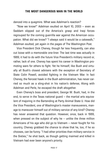danced into a quagmire. What was Adelman's reaction?

"Now we know!" Adelman exulted on April 10, 2003 – even as Saddam slipped out of the America's grasp and Iraqi forces regrouped for the coming guerrilla war against the American occupation. What did we know? "I always said it would be a cakewalk," Adelman exulted, yet again in the pages of The Washington Post.

Vice President Dick Cheney, though far less frequently, can also cut loose with a memorable one-liner. The last time was actually in 1989; it had to do with the future Vice President's military record or, rather, lack of one. Cheney has spent his career in Washington promoting wars for others to fight. Yet he himself, like Bush and virtually all Bush's closest advisers with the exception of Secretary of State Colin Powell, avoided fighting in the Vietnam War. In fact Cheney, the fiercest hawk in the Bush administration, has never carried so much as a sling-shot in his nation's defense, Along with Adelman and Perle, he escaped the draft altogether.

Even Cheney's boss and president, George W. Bush, had, in the end, to serve in the Texas national guard – the martial arts equivalent of majoring in the Bartending at Party Animal State U. How did the Vice President, one of Washington's master maneuverers, manage to maneuver himself out of military service of any kind? Cheney has never answered that question. However, once, back in 1989, when pressed on the subject of why he – unlike the three million Americans of his age who did go to Vietnam – never fought for his country, Cheney grabbed the chance to show that he, too, if he so chooses, can be funny. "I had other priorities than military service in the Sixties," he shot back, as though getting maimed and killed in Vietnam had ever been anyone's priority.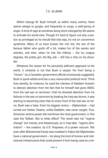Within George W. Bush himself, as within many comics, there seems always to gurgle, and frequently to surge, a well-spring of anger. A kind of rage at somehow being short-changed by life seems to animate his world-view. Though it's hard to figure out why a person as privileged as he should feel that way, it's not an uncommon syndrome. Many of us have known the rich kid, the son of the famous father who goofs off a lot, makes fun of the wonks and weirdos, and then, when he hits the trifecta  $-$  the Ivy League degrees, the pretty girl, the Big Job – still has a chip on his shoulder.

Whatever the reason for his peculiarly deficient approach to the world, it certainly is not that Bush is stupid. Far from being a "moron," as a Canadian government official erroneously suggested, Bush is quick-witted and has a very resourceful political mind. Think how adroitly, for instance, he used the vileness of Saddam Hussein to distract attention from the fact that he himself had gone AWOL from the real war on terrorism. Until he diverted attention from his failures in the war on terrorism by beating the Iraq war drums, it was starting to becoming clear that on every front of the real war on terror, Bush was a loser. Even his biggest victory – Afghanistan – had turned out hollow. Osama, unlike Saddam, was never caught. True, American techno-power did overthrow the local government, in this case the Taliban. But to what effect? The result was not "regime change" but merely, and disastrously, as in Iraq later, "regime elimination" – the creation, by U.S. firepower, of a power vacuum. Not even after Mohammed Karzai was installed in Kabul did Afghanistan have a national government – let along the kind of human and institutional infrastructure that could prevent it from being used as a ter-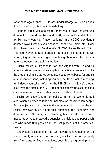rorist base again, once U.S. forces, under George W. Bush's direction, bugged out, this time to invade Iraq.

Fighting a real war against terrorism would have required wisdom, not just smart bombs – and, in Afghanistan, Bush didn't even try. He had sneered at "nation building" in the 2000 presidential debates. Now it wasn't even a case of Shoot Now, Think Later. It was Shoot Now, Then Start Another War, So We'll Never Have to Think. The result? Even as Bush bungled into a self-inflicted guerrilla war in Iraq, Afghanistan once again was being abandoned to warlords, heroin producers and political outlaws.

Bush's failure is larger than Iraq and Afghanistan: He and his administration have not done anything effective anywhere to solve the problem of failed states being used as terrorist bases for attacks on innocent civilians, including you and me. He's blocked meaningful, indeed even token reform of the FBI, CIA and INS. He's tried to keep even the facts of the 9/11 intelligence catastrophe secret, especially where they concern relations with his Saudi friends.

Bush's domestic "anti-terror" policies mirror his economic policies. When it comes to jobs and incomes for the American people, Bush's objective isn't to "revive the economy." It's to make the rich richer, however much doing that enfeebles the economy, and deforms the U.S. tax system. Similarly, his domestic "anti-terror" measures serve to protect the agencies, politicians and paper pushers who made 9/11 possible in the first placed, not the American people.

Under Bush's leadership, the U.S. government remains, on the whole, simply uninvolved in protecting our lives and our property from future attack. But who noticed, once Bush's big buildup to the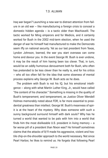Iraq war began? Launching a new war to distract attention from failure in an old war – like manufacturing a foreign crisis to conceal a domestic hidden agenda – is a tactic older than Machiavelli. The tactic worked for Ming emperors and for Medicis, and it certainly worked for Bush in the 2002 mid-term election, when he used the danger of war he himself had manufactured to make the Democrats seem iffy on national security. Yet as our last president from Texas, Lyndon Johnson, learned, the war you start overseas can come home and devour you. In the event George W. Bush is ever undone, it may be the result of him having been too clever. That, in turn, would be an oddly humorous denouement both for Bush, who often has pretended to be less clever than he really is, and for his critics – who all too often fall for the idea that some slowness of mental process explains why George W. Bush acts as he does.

The problem with Bush is not his IQ, but his emotional intelligence – along with what Martin Luther King, Jr., would have called "the content of his character." Something is missing in the quality of Bush's temperament; and temperament, as Justice Oliver Wendell Holmes memorably noted about FDR, is far more essential to presidential greatness than intellect. George W. Bush's meanness of spirit is at the heart of the mystery. Why does someone with such a sunny background surround himself with dark souls? Why has he turned a world that wanted to be pals with him into a world that finds him the most dislikeable U.S. president in living memory  $- a$ far worse pill of a president than Nixon was? He himself sometimes claims that the attacks of 9/11 made his aggressive, violent and hostile chip-on-the-shoulder approach to the world necessary. Not since Pearl Harbor, he likes to remind us. He forgets that following Pearl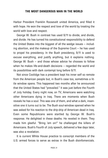Harbor President Franklin Roosevelt united America, and filled it with hope. He won the respect and love of the world by treating the world with love and respect.

George W. Bush in contrast has used 9/11 to divide, and divide, and divide. He has turned his constitutional responsibility to defend the United States into the biggest of all the wedge issues – including abortion, and the makeup of the Supreme Court – he has used to propel his presidency. In the Bush presidency, 9/11 is used to excuse everything, and justify anything, but it explains nothing. George W. Bush – and those whose advice he chooses to follow when he makes life-and-death decisions – regarded the world and its possibilities with dark contempt long before 9/11.

Not since Coolidge has a president kept his inner self so remote from the American people but, in Bush's case too, sometimes a little window opens. This happened two months after he announced that the United States had "prevailed." It was just before the Fourth of July holiday. Every night now, on TV, Americans were watching other Americans dying in Iraq. There are moments when Bush reveals he has a soul. This was one of them, and what a dark, insensitive one it turns out to be. The Bush soul-window opened when he was asked for his reaction to the drip-drip of American dead in Iraq. Even some Republicans were startled by George W. Bush's response. He delighted in these deaths. He reveled in them. They made him gleeful. "Bring 'em on!" he challenged the killers of Americans. Bush's Fourth of July speech, delivered a few days later, was also a revelation

It is current White House practice to conscript members of the U.S. armed forces to serve as extras in the Bush disinfomercials.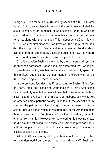George W. Bush made his Fourth of July speech at a U.S. Air Force base in Ohio to an audience from which the public was excluded. He spoke, instead, to an audience of Americans in uniform who had been ordered to provide the human back-drop for his patriotic remarks, along with their families. This Independence Day – July 4, 2003 – was the first since the Iraq invasion. The nature of the holiday, the composition of Bush's audience, above all the disturbing events in Iraq, all legitimately posed the question: How many more Fourths of July would see Americans being killed in Iraq?

On this occasion Bush – enveloped by the banners and symbols of American patriotism – once again did something that, when you stop to think about it, was laughable. In his Fourth of July speech to this military audience he did not mention the Iraq war, or the Americans being killed there, not once.

In the previous few days, as if responding to Bush's "Bring 'em on" dare, Iraqis had killed and wounded nearly thirty Americans. Bush's carefully selected audience knew that. They knew something else: It could have been me, or my son, or husband, or my wife. Yet on America's most patriotic holiday, in spite of these special circumstances, the painful sacrifices being made in Iraq were not in the script. Bush did not so much as mention Iraq, or the American dead there, just as the word "Afghanistan" is seldom heard, any more, to emerge from his lips. However, to the cheering, flag-waving crowd he did say the following: "The enemies of America plot against us and our people in uniform do not have an easy duty." This was his closest allusion to the dying.

Admit it. All this is funny when you think about it  $-$  though it has to be understood from the start that when George W. Bush per-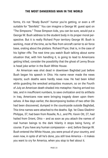forms, it's not "Brady Bunch" humor you're getting, or even a riff suitable for "Seinfeld." You can imagine a George W. guest spot on "The Simpsons." Those Simpson kids, you can be sure, would put a George W. Bush address to the student body in its proper moral perspective. But it is really Richard Pryor territory George W. Bush is working, most of the time, as he flies from aircraft carrier to air force base, orating about the plotters. Richard Pryor, that is, in the case of his lighter riffs: The next time you watch Bush talking about some situation that, with him handling it, is going to lead to Americans getting killed, consider the possibility that the ghost of Lenny Bruce is head joke writer in the Bush White House.

An American was shot dead in downtown Baghdad just before Bush began his speech in Ohio. His name never made the news reports; such deaths were hardly news now. He had been killed while guarding the wrecked antiquities museum, so on the Fourth of July an American death shaded into metaphor. Having arrived too late, and in insufficient numbers, to save civilization and its artifacts in Iraq, Americans now were bringing tragedy down upon themselves. A few days earlier, the decomposing bodies of two other GIs had been discovered, dumped in the countryside outside Baghdad, This time names were attached to the deaths. Sgt. 1st Class Gladimir Philippe, 37, had been from Roselle, N.J., and Pfc. Kevin Ott, 27, had hailed from Orient, Ohio – and as soon as you attach the names of real human beings to the dark hilarity it stops being funny, of course. If you have any human compassion – and, before George W. Bush entered the White House, you were proud of your country, and even now, in spite of all he's done, you still love America – it makes you want to cry for America, when you stop to feel about it.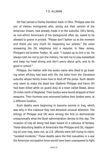Ott had owned a Harley-Davidson back in Ohio. Philippe was the son of Haitian immigrants who, acting out their version of the American Dream, had already made it to the suburbs. Ott's family, as non-ethnic Americans of his background often do, asked to be allowed to grieve in private. "Please don't bother us at the moment and thank you very much for respecting our wishes," the voice answering the Ott telephone told a reporter. In New Jersey, Philippe's kid brother Fedlyn, 16, said: "I looked up to him a lot. He always told me not to join the military. He told me to play basketball and keep my head strong and don't worry about girls, and to do good in school."

Philippe, the Haitian with the exotic name who liked to go bowling when off-duty had died with Ott, the biker from the Cleveland suburbs whose family knew how to fend off the press. Such details only seem to make the dead live: Gladimir Philippe and Kevin Ott had been killed while on guard duty at a town called Balad, about 25 miles north of Baghdad. Their bodies were found stripped of their weapons. Their Humvee was recovered before their bodies were, at a different location.

Such deaths were beginning to become normal in Iraq, which was why in this instance they had attracted unusual attention. The killings of Philippe and Ott were among the first to demonstrate unequivocally what the Bush administration denies to this day: The invasion of Iraq all along had been based on a calculus of fantasy. These disturbing deaths of Americans like Philippe and Ott, happening all over Iraq, were not, as U.S. officials were still trying to claim, "isolated incidents." These deaths were the first casualties in a war the American occupation force would have been unprepared to fight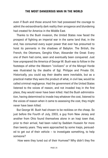even if Bush and those around him had possessed the courage to admit the extraordinarily dark reality their arrogance and blundering had created for America in the Middle East.

Thanks to the Bush invasion, the United States now faced the prospect of fighting an imperial war in the same land that, in the end, has consumed every super power that ever has presumed to hoist its pennants in the shadows of Babylon. The British, the French, the Ottomans, Genghiz Khan, Alexander the Great: Every one of them had come, seen and eventually been conquered. Just how unprepared the America of George W. Bush was to follow in the footsteps of either the Western "civilizers" or of the Mongol Horde was illustrated by the deaths of Sgt. Philippe and Private Ott. Historically, you could say their deaths were inevitable, but as a practical matter they were the product of what, in civil law, would be called criminal negligence. Had the government of the United States listened to the voices of reason, and not invaded Iraq in the first place, they would never have been killed. Had the Bush administration, having determined to invade Iraq whatever the cost, listened to the voices of reason when it came to assessing the cost, they might never have been killed.

But George W. Bush had chosen to be reckless on the cheap. So just before the Fourth of July, 2003, a guy from New Jersey and another from Ohio found themselves alone in an Iraqi town that, prior to their arrival, had been ruled by Saddam Hussein for more than twenty years. They were approached by some Iraqis, persuaded to get out of their vehicle – to investigate something, to help someone?

How were they lured out of their Humvee? Why didn't they fire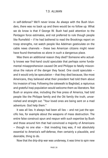in self-defense? We'll never know. As always with the Bush blunders, there was no back up and there would be no follow up. What we do know is that if George W. Bush had paid attention to the Pentagon force estimates, and not preferred to rule though people like Rumsfeld – if he had bothered to read the Brookings report on troop strengths, not watch people like Adelman gesticulate on the cable news channels – these two American citizens might never have found themselves so alone in such a dangerous place.

Was there an additional reason they died? Someone who actually knows war first-hand could speculate that perhaps some fundamental misapprehension caused Ott and Philippe to fatally misconstrue the nature of the danger they faced. One could speculate – and it would only be speculation – that they died because, like most Americans, they believed what their president had told them about his invasion of Iraq: Following the cakewalk to Baghdad, a rapturous and grateful Iraqi population would welcome them as liberators. Not Bush or anyone else, including the free press of America, had told people like the Philippe family and the Ott family the truth, unvarnished and straight out: "Your loved ones are being sent on a mad adventure. God help them."

It was all lies. It always had been all lies – and not just the specific lies, for example about the weapons of mass destruction. The entire false construct spun and respun with such expertise by Bush and those around him that had convinced a majority of Americans – though no one else – that invading Iraq was, if not absolutely essential to America's self-defense, then certainly a plausible, and desirable, thing to do.

Now that the drip-drip war was underway, it was time to spin new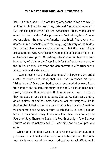lies – this time, about who was killing Americans in Iraq and why. In addition to Saddam Hussein's loyalists and "common criminals," a U.S. official spokesman told the Associated Press, when asked about the two soldiers' disappearance, "outside agitators" were responsible for the mounting American death toll. These American deaths in Iraq resonated with the long, tragic history of the Middle East. In fact they were a continuation of it, but this latest official explanation for why Americans were being killed came straight out of America's own past. "Outside agitators" also had been the ones blamed by officials in the Deep South for the freedom marches of the 1960s, as they dispersed the demonstrators with truncheons, attack dogs and water cannon.

It was in reaction to the disappearance of Philippe and Ott, and a cluster of deaths like theirs, that Bush had unleashed his dare: "Bring 'em on." Once their bodies were recovered, they were flown from Iraq to the military mortuary at the U.S. air force base near Dover, Delaware. So it happened that on the same Fourth of July as they lay dead at one air force base, George W. Bush was orating about plotters at another. Americans as well as foreigners like to think of the United States as a new country, but this was America's two hundredth and twenty-seventh Fourth of July, For nearly a quarter of a millennium now, Americans have been celebrating the Fourth of July. Thanks to Bush, this Fourth of July – "the Glorious Fourth" as it's sometimes called – was different from all previous ones.

What made it different was that all over the world ordinary people as well as national leaders were troubled by questions that, until recently, it never would have occurred to them to ask: What might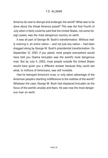America do next to disrupt and endanger the world? What was to be done about the threat America posed? This was the first Fourth of July when it fairly could be said that the United States, not some foreign power, was the most dangerous country on earth.

It was all part of George W. Bush's transformation. Without really noticing it, an entire nation – and not just any nation – had been dragged along by George W. Bush's presidential transformation. On September 12, 2001, if you asked, most people everywhere would have told you Osama binLaden was the world's most dangerous man. But by July 4, 2003, most people outside the United States would have given you a different answer because they could see what, to millions of Americans, was still invisible.

Had he betrayed America's trust, or only taken advantage of the American people's startling indifference to the realities of the world? Whatever the case, George W. Bush had displaced binLaden as the focus of the world's anxiety and fears. He was now the most dangerous man on earth.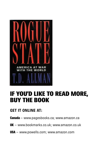

### IF YOU'D LIKE TO READ MORE, BUY THE BOOK

### **GET IT ONLINE AT:**

- **Canada** www.pagesbooks.ca; www.amazon.ca
- UK www.bookmarks.co.uk; www.amazon.co.uk
- **USA** www.powells.com; www.amazon.com